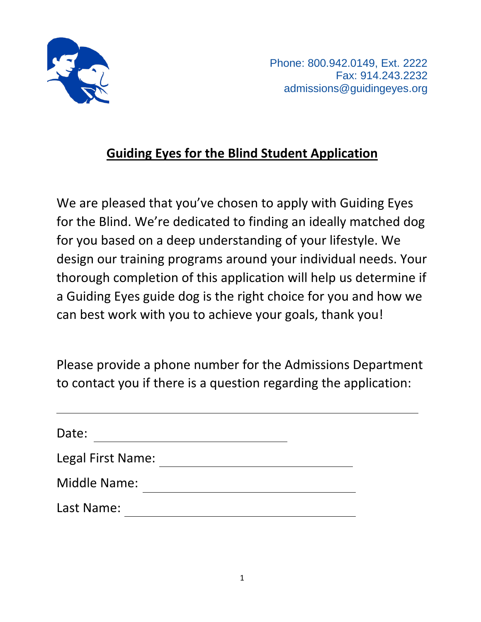

 Phone: 800.942.0149, Ext. 2222 Fax: 914.243.2232 admissions@guidingeyes.org

## **Guiding Eyes for the Blind Student Application**

We are pleased that you've chosen to apply with Guiding Eyes for the Blind. We're dedicated to finding an ideally matched dog for you based on a deep understanding of your lifestyle. We design our training programs around your individual needs. Your thorough completion of this application will help us determine if a Guiding Eyes guide dog is the right choice for you and how we can best work with you to achieve your goals, thank you!

Please provide a phone number for the Admissions Department to contact you if there is a question regarding the application:

| Date:               |  |
|---------------------|--|
| Legal First Name:   |  |
| <b>Middle Name:</b> |  |
| Last Name:          |  |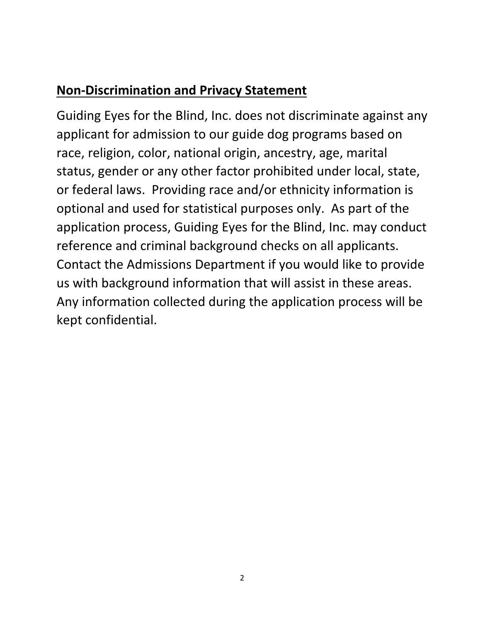## **Non-Discrimination and Privacy Statement**

Guiding Eyes for the Blind, Inc. does not discriminate against any applicant for admission to our guide dog programs based on race, religion, color, national origin, ancestry, age, marital status, gender or any other factor prohibited under local, state, or federal laws. Providing race and/or ethnicity information is optional and used for statistical purposes only. As part of the application process, Guiding Eyes for the Blind, Inc. may conduct reference and criminal background checks on all applicants. Contact the Admissions Department if you would like to provide us with background information that will assist in these areas. Any information collected during the application process will be kept confidential.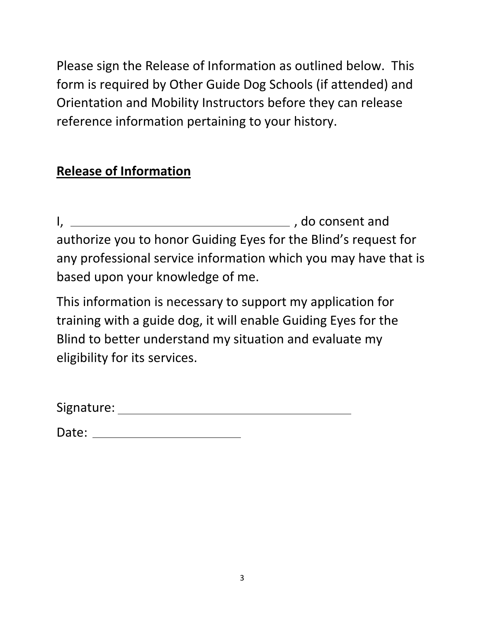Please sign the Release of Information as outlined below. This form is required by Other Guide Dog Schools (if attended) and Orientation and Mobility Instructors before they can release reference information pertaining to your history.

## **Release of Information**

I,  $\frac{1}{2}$  , do consent and authorize you to honor Guiding Eyes for the Blind's request for any professional service information which you may have that is based upon your knowledge of me.

This information is necessary to support my application for training with a guide dog, it will enable Guiding Eyes for the Blind to better understand my situation and evaluate my eligibility for its services.

| Date: |  |
|-------|--|
|       |  |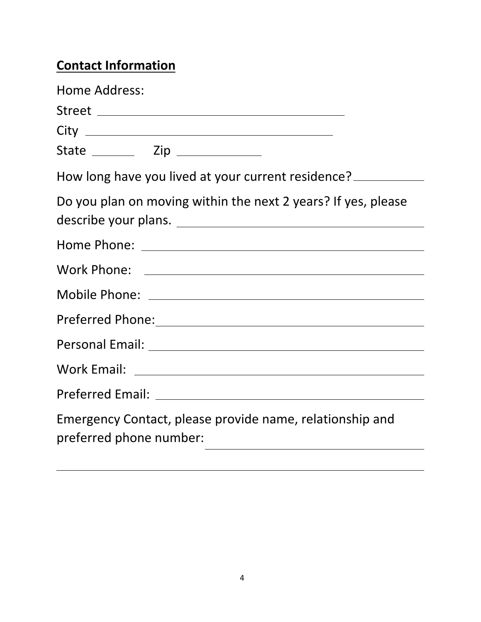# **Contact Information**

| Home Address:                                                                         |
|---------------------------------------------------------------------------------------|
|                                                                                       |
|                                                                                       |
|                                                                                       |
| How long have you lived at your current residence?                                    |
| Do you plan on moving within the next 2 years? If yes, please<br>describe your plans. |
|                                                                                       |
|                                                                                       |
|                                                                                       |
|                                                                                       |
|                                                                                       |
|                                                                                       |
|                                                                                       |
| Emergency Contact, please provide name, relationship and<br>preferred phone number:   |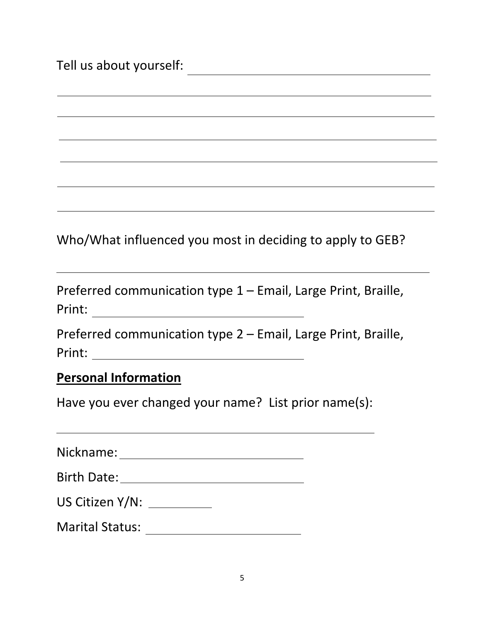Tell us about yourself:

Who/What influenced you most in deciding to apply to GEB?

Preferred communication type 1 – Email, Large Print, Braille, Print:

Preferred communication type 2 – Email, Large Print, Braille, Print:

#### **Personal Information**

Have you ever changed your name? List prior name(s):

Nickname:

| <b>Birth Date:</b> |  |
|--------------------|--|
|                    |  |

| US Citizen Y/N: |  |
|-----------------|--|
|-----------------|--|

Marital Status: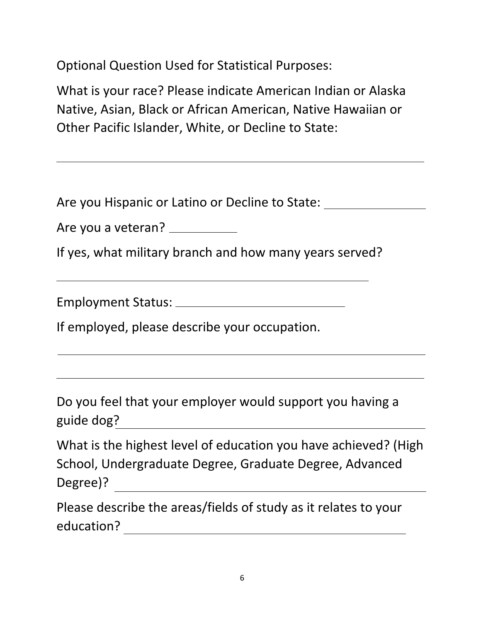Optional Question Used for Statistical Purposes:

What is your race? Please indicate American Indian or Alaska Native, Asian, Black or African American, Native Hawaiian or Other Pacific Islander, White, or Decline to State:

Are you Hispanic or Latino or Decline to State:

Are you a veteran? \_\_\_\_\_\_\_\_\_\_\_

If yes, what military branch and how many years served?

Employment Status:

If employed, please describe your occupation.

Do you feel that your employer would support you having a guide dog?<br>guide dog?

| What is the highest level of education you have achieved? (High |
|-----------------------------------------------------------------|
| School, Undergraduate Degree, Graduate Degree, Advanced         |
| Degree)?                                                        |

Please describe the areas/fields of study as it relates to your education?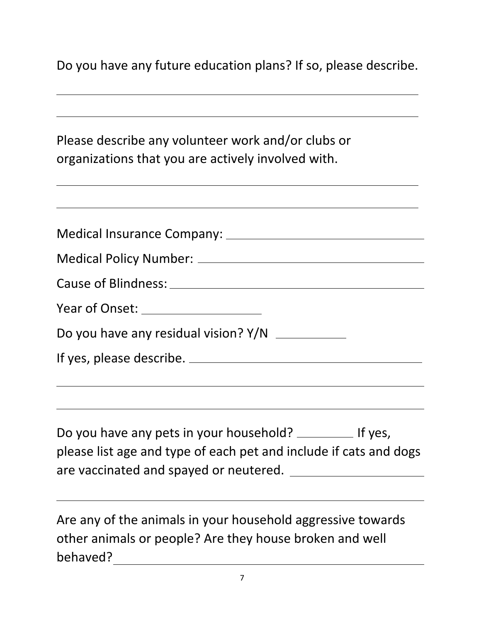Do you have any future education plans? If so, please describe.

Please describe any volunteer work and/or clubs or organizations that you are actively involved with. Medical Insurance Company: Medical Policy Number: Cause of Blindness: Year of Onset: Do you have any residual vision? Y/N If yes, please describe. Do you have any pets in your household? The Use of yes, please list age and type of each pet and include if cats and dogs are vaccinated and spayed or neutered. Are any of the animals in your household aggressive towards other animals or people? Are they house broken and well

behaved?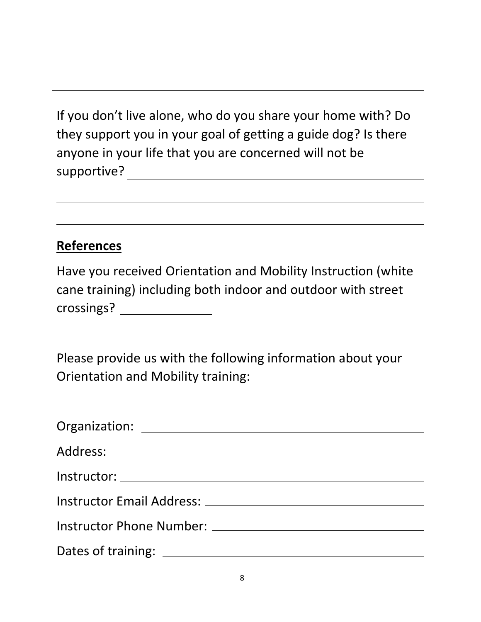If you don't live alone, who do you share your home with? Do they support you in your goal of getting a guide dog? Is there anyone in your life that you are concerned will not be supportive?

#### **References**

| Have you received Orientation and Mobility Instruction (white |
|---------------------------------------------------------------|
| cane training) including both indoor and outdoor with street  |
| crossings?                                                    |

Please provide us with the following information about your Orientation and Mobility training:

| Instructor Email Address: National American Services and Services and Services and Services and Services and S |
|----------------------------------------------------------------------------------------------------------------|
|                                                                                                                |
|                                                                                                                |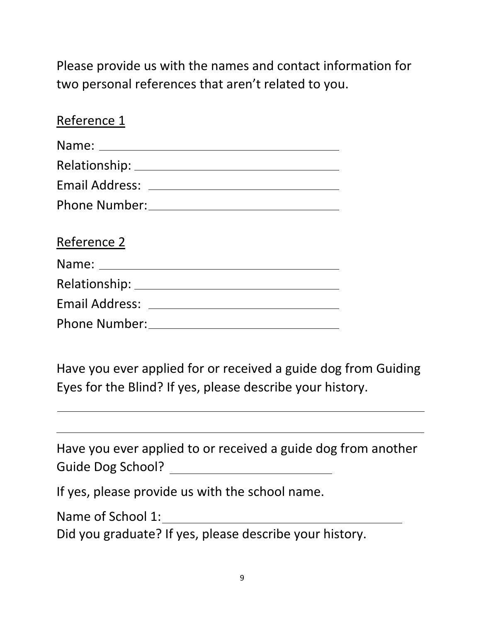Please provide us with the names and contact information for two personal references that aren't related to you.

| Reference 1          |  |
|----------------------|--|
|                      |  |
|                      |  |
|                      |  |
|                      |  |
| Reference 2          |  |
|                      |  |
|                      |  |
|                      |  |
| <b>Phone Number:</b> |  |

Have you ever applied for or received a guide dog from Guiding Eyes for the Blind? If yes, please describe your history.

| Have you ever applied to or received a guide dog from another |
|---------------------------------------------------------------|
| Guide Dog School?                                             |
|                                                               |

If yes, please provide us with the school name.

Name of School 1: Name of School 1:

Did you graduate? If yes, please describe your history.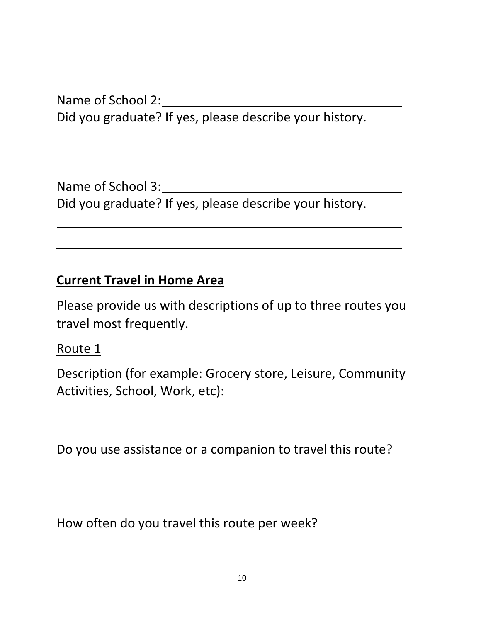Name of School 2: Did you graduate? If yes, please describe your history.

Name of School 3: Did you graduate? If yes, please describe your history.

# **Current Travel in Home Area**

Please provide us with descriptions of up to three routes you travel most frequently.

Route 1

Description (for example: Grocery store, Leisure, Community Activities, School, Work, etc):

Do you use assistance or a companion to travel this route?

How often do you travel this route per week?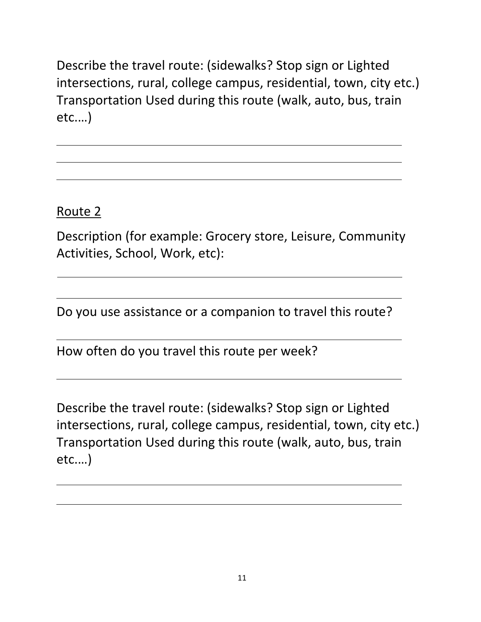Describe the travel route: (sidewalks? Stop sign or Lighted intersections, rural, college campus, residential, town, city etc.) Transportation Used during this route (walk, auto, bus, train etc.…)

Route 2

Description (for example: Grocery store, Leisure, Community Activities, School, Work, etc):

Do you use assistance or a companion to travel this route?

How often do you travel this route per week?

Describe the travel route: (sidewalks? Stop sign or Lighted intersections, rural, college campus, residential, town, city etc.) Transportation Used during this route (walk, auto, bus, train etc.…)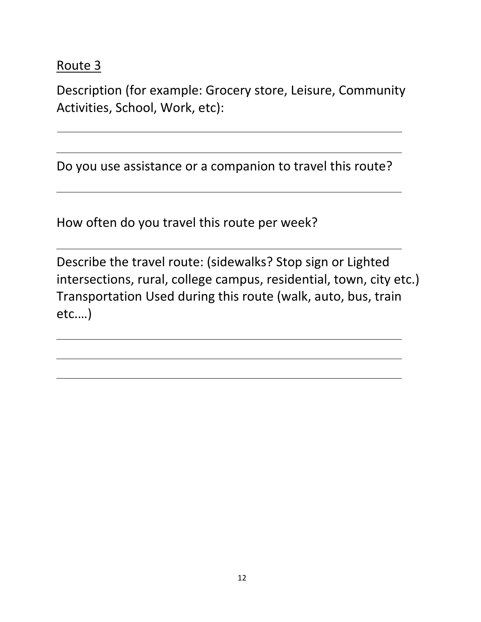### Route 3

Description (for example: Grocery store, Leisure, Community Activities, School, Work, etc):

Do you use assistance or a companion to travel this route?

How often do you travel this route per week?

Describe the travel route: (sidewalks? Stop sign or Lighted intersections, rural, college campus, residential, town, city etc.) Transportation Used during this route (walk, auto, bus, train etc.…)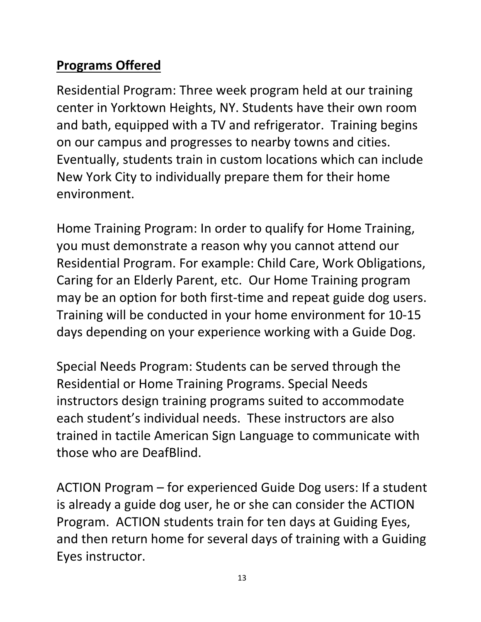## **Programs Offered**

Residential Program: Three week program held at our training center in Yorktown Heights, NY. Students have their own room and bath, equipped with a TV and refrigerator. Training begins on our campus and progresses to nearby towns and cities. Eventually, students train in custom locations which can include New York City to individually prepare them for their home environment.

Home Training Program: In order to qualify for Home Training, you must demonstrate a reason why you cannot attend our Residential Program. For example: Child Care, Work Obligations, Caring for an Elderly Parent, etc. Our Home Training program may be an option for both first-time and repeat guide dog users. Training will be conducted in your home environment for 10-15 days depending on your experience working with a Guide Dog.

Special Needs Program: Students can be served through the Residential or Home Training Programs. Special Needs instructors design training programs suited to accommodate each student's individual needs. These instructors are also trained in tactile American Sign Language to communicate with those who are DeafBlind.

ACTION Program – for experienced Guide Dog users: If a student is already a guide dog user, he or she can consider the ACTION Program. ACTION students train for ten days at Guiding Eyes, and then return home for several days of training with a Guiding Eyes instructor.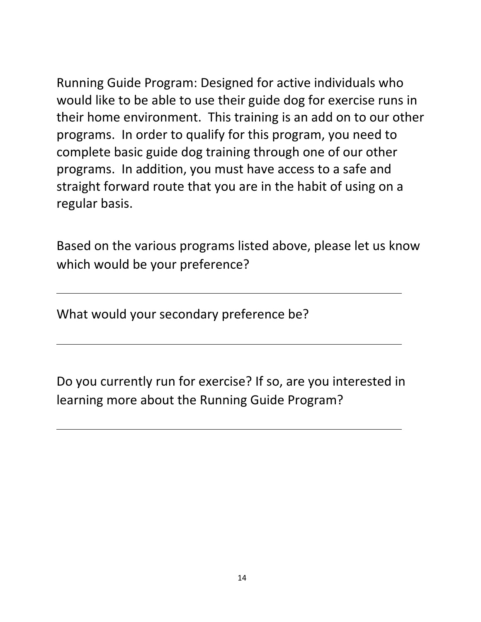Running Guide Program: Designed for active individuals who would like to be able to use their guide dog for exercise runs in their home environment. This training is an add on to our other programs. In order to qualify for this program, you need to complete basic guide dog training through one of our other programs. In addition, you must have access to a safe and straight forward route that you are in the habit of using on a regular basis.

Based on the various programs listed above, please let us know which would be your preference?

What would your secondary preference be?

Do you currently run for exercise? If so, are you interested in learning more about the Running Guide Program?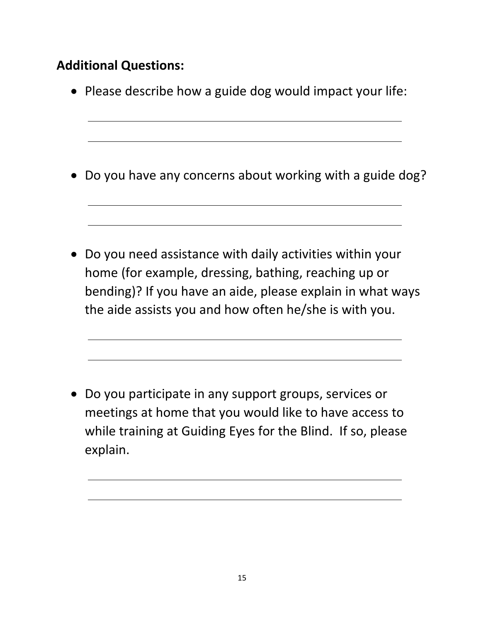## **Additional Questions:**

• Please describe how a guide dog would impact your life:

• Do you have any concerns about working with a guide dog?

• Do you need assistance with daily activities within your home (for example, dressing, bathing, reaching up or bending)? If you have an aide, please explain in what ways the aide assists you and how often he/she is with you.

• Do you participate in any support groups, services or meetings at home that you would like to have access to while training at Guiding Eyes for the Blind. If so, please explain.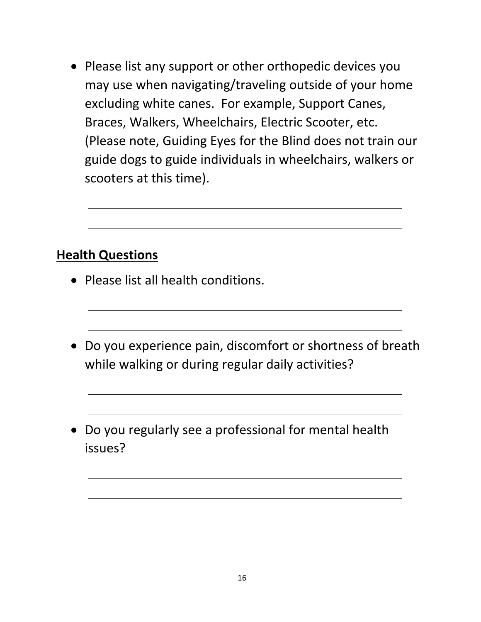• Please list any support or other orthopedic devices you may use when navigating/traveling outside of your home excluding white canes. For example, Support Canes, Braces, Walkers, Wheelchairs, Electric Scooter, etc. (Please note, Guiding Eyes for the Blind does not train our guide dogs to guide individuals in wheelchairs, walkers or scooters at this time).

#### **Health Questions**

- Please list all health conditions.
- Do you experience pain, discomfort or shortness of breath while walking or during regular daily activities?
- Do you regularly see a professional for mental health issues?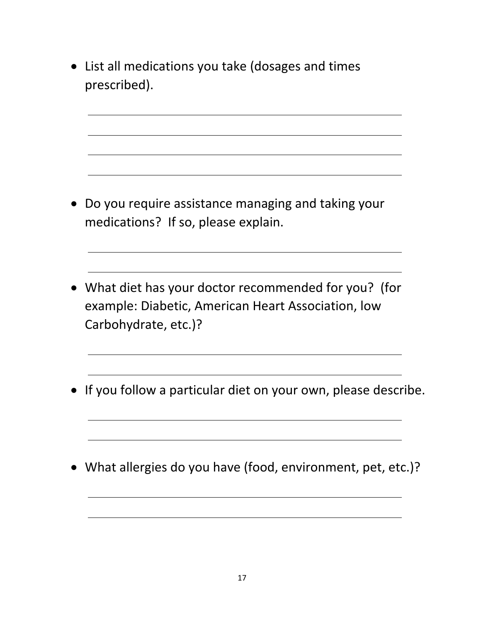• List all medications you take (dosages and times prescribed).

- Do you require assistance managing and taking your medications? If so, please explain.
- What diet has your doctor recommended for you? (for example: Diabetic, American Heart Association, low Carbohydrate, etc.)?
- If you follow a particular diet on your own, please describe.
- What allergies do you have (food, environment, pet, etc.)?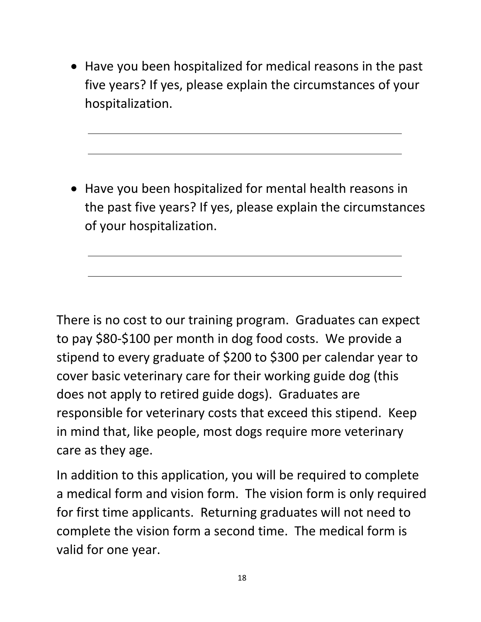• Have you been hospitalized for medical reasons in the past five years? If yes, please explain the circumstances of your hospitalization.

• Have you been hospitalized for mental health reasons in the past five years? If yes, please explain the circumstances of your hospitalization.

There is no cost to our training program. Graduates can expect to pay \$80-\$100 per month in dog food costs. We provide a stipend to every graduate of \$200 to \$300 per calendar year to cover basic veterinary care for their working guide dog (this does not apply to retired guide dogs). Graduates are responsible for veterinary costs that exceed this stipend. Keep in mind that, like people, most dogs require more veterinary care as they age.

In addition to this application, you will be required to complete a medical form and vision form. The vision form is only required for first time applicants. Returning graduates will not need to complete the vision form a second time. The medical form is valid for one year.